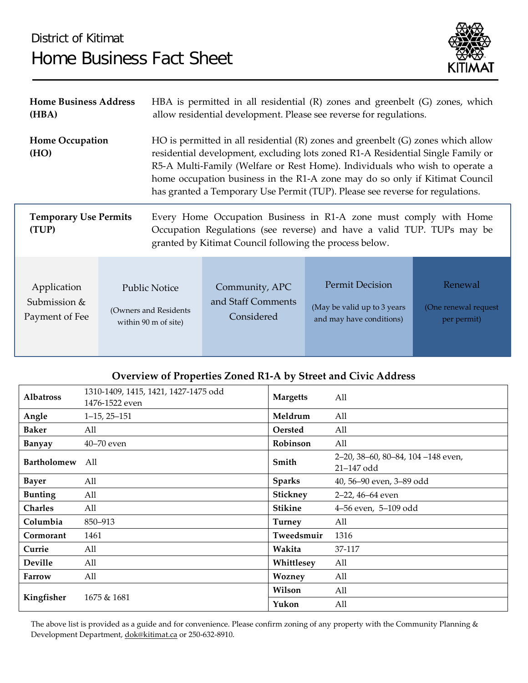## District of Kitimat Home Business Fact Sheet



| <b>Home Business Address</b>          |                        | HBA is permitted in all residential (R) zones and greenbelt (G) zones, which                                                                                                                                                                                                                                                                                                                                           |                    |                             |                      |  |  |
|---------------------------------------|------------------------|------------------------------------------------------------------------------------------------------------------------------------------------------------------------------------------------------------------------------------------------------------------------------------------------------------------------------------------------------------------------------------------------------------------------|--------------------|-----------------------------|----------------------|--|--|
| (HBA)                                 |                        | allow residential development. Please see reverse for regulations.                                                                                                                                                                                                                                                                                                                                                     |                    |                             |                      |  |  |
| <b>Home Occupation</b><br>(HO)        |                        | HO is permitted in all residential $(R)$ zones and greenbelt $(G)$ zones which allow<br>residential development, excluding lots zoned R1-A Residential Single Family or<br>R5-A Multi-Family (Welfare or Rest Home). Individuals who wish to operate a<br>home occupation business in the R1-A zone may do so only if Kitimat Council<br>has granted a Temporary Use Permit (TUP). Please see reverse for regulations. |                    |                             |                      |  |  |
| <b>Temporary Use Permits</b><br>(TUP) |                        | Every Home Occupation Business in R1-A zone must comply with Home<br>Occupation Regulations (see reverse) and have a valid TUP. TUPs may be<br>granted by Kitimat Council following the process below.                                                                                                                                                                                                                 |                    |                             |                      |  |  |
| Application                           | Public Notice          |                                                                                                                                                                                                                                                                                                                                                                                                                        | Community, APC     | <b>Permit Decision</b>      | Renewal              |  |  |
| Submission &                          | (Owners and Residents) |                                                                                                                                                                                                                                                                                                                                                                                                                        | and Staff Comments | (May be valid up to 3 years | (One renewal request |  |  |
| Payment of Fee                        | within 90 m of site)   |                                                                                                                                                                                                                                                                                                                                                                                                                        | Considered         | and may have conditions)    | per permit)          |  |  |

## **Overview of Properties Zoned R1-A by Street and Civic Address**

| <b>Albatross</b>   | 1310-1409, 1415, 1421, 1427-1475 odd<br>1476-1522 even | <b>Margetts</b> | All                                             |
|--------------------|--------------------------------------------------------|-----------------|-------------------------------------------------|
| Angle              | $1-15, 25-151$                                         | Meldrum         | All                                             |
| <b>Baker</b>       | All                                                    | <b>Oersted</b>  | All                                             |
| <b>Banyay</b>      | $40 - 70$ even                                         | Robinson        | All                                             |
| <b>Bartholomew</b> | All                                                    | Smith           | 2-20, 38-60, 80-84, 104-148 even,<br>21-147 odd |
| <b>Bayer</b>       | All                                                    | <b>Sparks</b>   | 40, 56-90 even, 3-89 odd                        |
| <b>Bunting</b>     | All                                                    | Stickney        | 2-22, 46-64 even                                |
| <b>Charles</b>     | All                                                    | <b>Stikine</b>  | 4-56 even, 5-109 odd                            |
| Columbia           | 850-913                                                | <b>Turney</b>   | All                                             |
| Cormorant          | 1461                                                   | Tweedsmuir      | 1316                                            |
| Currie             | All                                                    | Wakita          | 37-117                                          |
| Deville            | All                                                    | Whittlesey      | All                                             |
| Farrow             | All                                                    | Wozney          | All                                             |
| Kingfisher         |                                                        | Wilson          | All                                             |
|                    | 1675 & 1681                                            | Yukon           | All                                             |

The above list is provided as a guide and for convenience. Please confirm zoning of any property with the Community Planning & Development Department, [dok@kitimat.ca](mailto:dok@kitimat.ca) or 250-632-8910.